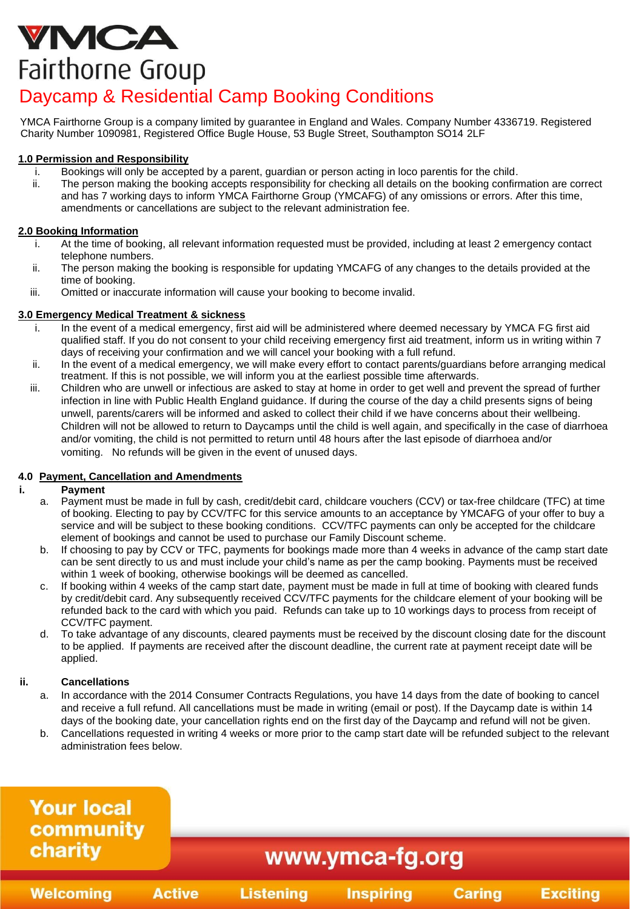# VMCA Fairthorne Group

# Daycamp & Residential Camp Booking Conditions

YMCA Fairthorne Group is a company limited by guarantee in England and Wales. Company Number 4336719. Registered Charity Number 1090981, Registered Office Bugle House, 53 Bugle Street, Southampton SO14 2LF

# **1.0 Permission and Responsibility**

- i. Bookings will only be accepted by a parent, guardian or person acting in loco parentis for the child.
- ii. The person making the booking accepts responsibility for checking all details on the booking confirmation are correct and has 7 working days to inform YMCA Fairthorne Group (YMCAFG) of any omissions or errors. After this time, amendments or cancellations are subject to the relevant administration fee.

# **2.0 Booking Information**

- i. At the time of booking, all relevant information requested must be provided, including at least 2 emergency contact telephone numbers.
- ii. The person making the booking is responsible for updating YMCAFG of any changes to the details provided at the time of booking.
- iii. Omitted or inaccurate information will cause your booking to become invalid.

## **3.0 Emergency Medical Treatment & sickness**

- In the event of a medical emergency, first aid will be administered where deemed necessary by YMCA FG first aid qualified staff. If you do not consent to your child receiving emergency first aid treatment, inform us in writing within 7 days of receiving your confirmation and we will cancel your booking with a full refund.
- ii. In the event of a medical emergency, we will make every effort to contact parents/guardians before arranging medical treatment. If this is not possible, we will inform you at the earliest possible time afterwards.
- iii. Children who are unwell or infectious are asked to stay at home in order to get well and prevent the spread of further infection in line with Public Health England guidance. If during the course of the day a child presents signs of being unwell, parents/carers will be informed and asked to collect their child if we have concerns about their wellbeing. Children will not be allowed to return to Daycamps until the child is well again, and specifically in the case of diarrhoea and/or vomiting, the child is not permitted to return until 48 hours after the last episode of diarrhoea and/or vomiting. No refunds will be given in the event of unused days.

# **4.0 Payment, Cancellation and Amendments**

## **i. Payment**

- a. Payment must be made in full by cash, credit/debit card, childcare vouchers (CCV) or tax-free childcare (TFC) at time of booking. Electing to pay by CCV/TFC for this service amounts to an acceptance by YMCAFG of your offer to buy a service and will be subject to these booking conditions. CCV/TFC payments can only be accepted for the childcare element of bookings and cannot be used to purchase our Family Discount scheme.
- b. If choosing to pay by CCV or TFC, payments for bookings made more than 4 weeks in advance of the camp start date can be sent directly to us and must include your child's name as per the camp booking. Payments must be received within 1 week of booking, otherwise bookings will be deemed as cancelled.
- c. If booking within 4 weeks of the camp start date, payment must be made in full at time of booking with cleared funds by credit/debit card. Any subsequently received CCV/TFC payments for the childcare element of your booking will be refunded back to the card with which you paid. Refunds can take up to 10 workings days to process from receipt of CCV/TFC payment.
- d. To take advantage of any discounts, cleared payments must be received by the discount closing date for the discount to be applied. If payments are received after the discount deadline, the current rate at payment receipt date will be applied.

## **ii. Cancellations**

- a. In accordance with the 2014 Consumer Contracts Regulations, you have 14 days from the date of booking to cancel and receive a full refund. All cancellations must be made in writing (email or post). If the Daycamp date is within 14 days of the booking date, your cancellation rights end on the first day of the Daycamp and refund will not be given.
- b. Cancellations requested in writing 4 weeks or more prior to the camp start date will be refunded subject to the relevant administration fees below.

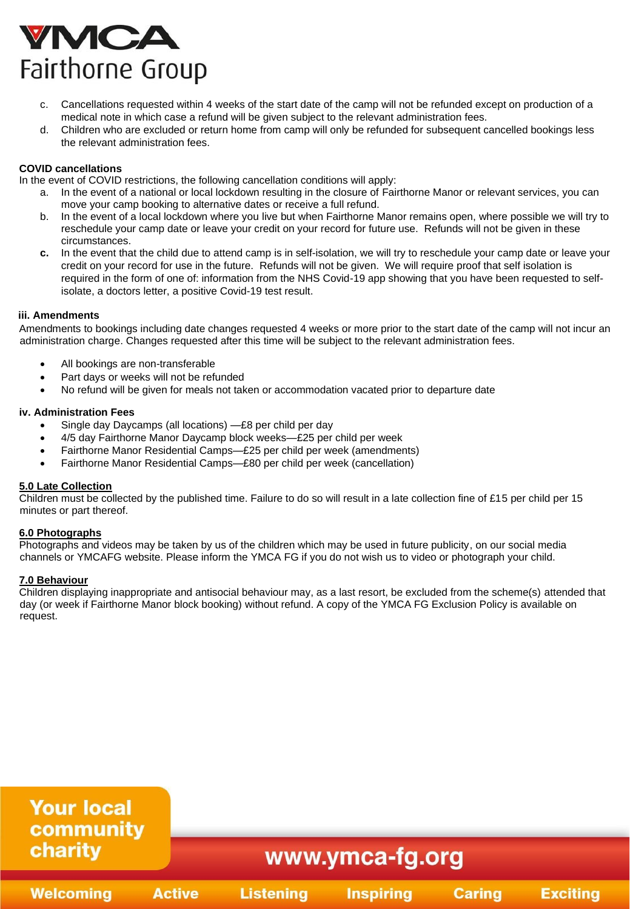# VMCA Fairthorne Group

- c. Cancellations requested within 4 weeks of the start date of the camp will not be refunded except on production of a medical note in which case a refund will be given subject to the relevant administration fees.
- d. Children who are excluded or return home from camp will only be refunded for subsequent cancelled bookings less the relevant administration fees.

## **COVID cancellations**

In the event of COVID restrictions, the following cancellation conditions will apply:

- a. In the event of a national or local lockdown resulting in the closure of Fairthorne Manor or relevant services, you can move your camp booking to alternative dates or receive a full refund.
- b. In the event of a local lockdown where you live but when Fairthorne Manor remains open, where possible we will try to reschedule your camp date or leave your credit on your record for future use. Refunds will not be given in these circumstances.
- **c.** In the event that the child due to attend camp is in self-isolation, we will try to reschedule your camp date or leave your credit on your record for use in the future. Refunds will not be given. We will require proof that self isolation is required in the form of one of: information from the NHS Covid-19 app showing that you have been requested to selfisolate, a doctors letter, a positive Covid-19 test result.

#### **iii. Amendments**

Amendments to bookings including date changes requested 4 weeks or more prior to the start date of the camp will not incur an administration charge. Changes requested after this time will be subject to the relevant administration fees.

- All bookings are non-transferable
- Part days or weeks will not be refunded
- No refund will be given for meals not taken or accommodation vacated prior to departure date

#### **iv. Administration Fees**

- Single day Daycamps (all locations) —£8 per child per day
- 4/5 day Fairthorne Manor Daycamp block weeks—£25 per child per week
- Fairthorne Manor Residential Camps—£25 per child per week (amendments)
- Fairthorne Manor Residential Camps—£80 per child per week (cancellation)

#### **5.0 Late Collection**

Children must be collected by the published time. Failure to do so will result in a late collection fine of £15 per child per 15 minutes or part thereof.

#### **6.0 Photographs**

Photographs and videos may be taken by us of the children which may be used in future publicity, on our social media channels or YMCAFG website. Please inform the YMCA FG if you do not wish us to video or photograph your child.

#### **7.0 Behaviour**

Children displaying inappropriate and antisocial behaviour may, as a last resort, be excluded from the scheme(s) attended that day (or week if Fairthorne Manor block booking) without refund. A copy of the YMCA FG Exclusion Policy is available on request.